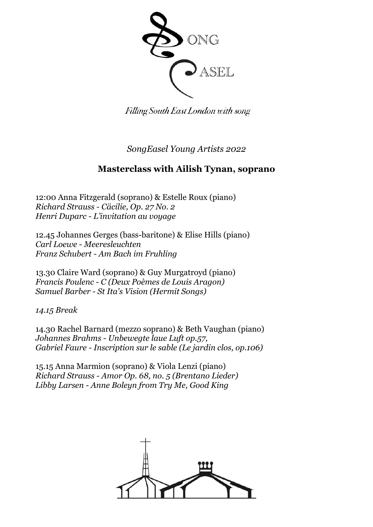

Filling South East London with song

*SongEasel Young Artists 2022*

## **Masterclass with Ailish Tynan, soprano**

12:00 Anna Fitzgerald (soprano) & Estelle Roux (piano) *Richard Strauss - Cäcilie, Op. 27 No. 2 Henri Duparc - L'invitation au voyage*

12.45 Johannes Gerges (bass-baritone) & Elise Hills (piano) *Carl Loewe - Meeresleuchten Franz Schubert - Am Bach im Fruhling*

13.30 Claire Ward (soprano) & Guy Murgatroyd (piano) *Francis Poulenc - C (Deux Poèmes de Louis Aragon) Samuel Barber - St Ita's Vision (Hermit Songs)*

*14.15 Break*

14.30 Rachel Barnard (mezzo soprano) & Beth Vaughan (piano) *Johannes Brahms - Unbewegte laue Luft op.57, Gabriel Faure - Inscription sur le sable (Le jardin clos, op.106)*

15.15 Anna Marmion (soprano) & Viola Lenzi (piano) *Richard Strauss - Amor Op. 68, no. 5 (Brentano Lieder) Libby Larsen - Anne Boleyn from Try Me, Good King*